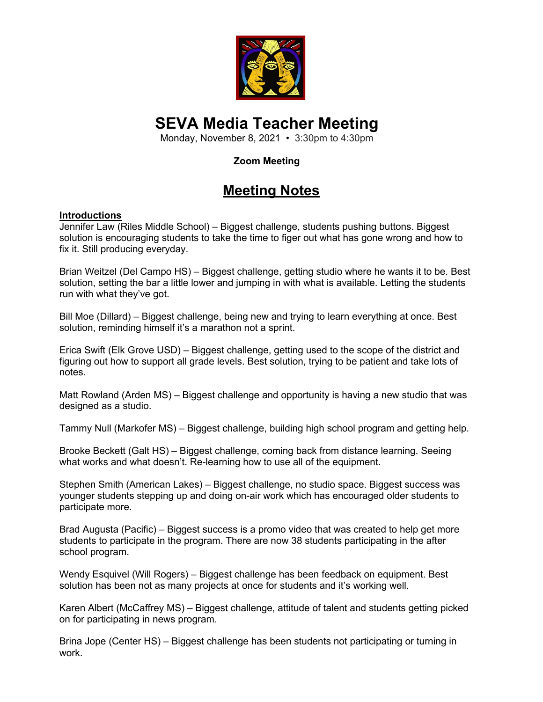

# **SEVA Media Teacher Meeting**

Monday, November 8, 2021 • 3:30pm to 4:30pm

### **Zoom Meeting**

## **Meeting Notes**

#### **Introductions**

Jennifer Law (Riles Middle School) – Biggest challenge, students pushing buttons. Biggest solution is encouraging students to take the time to figer out what has gone wrong and how to fix it. Still producing everyday.

Brian Weitzel (Del Campo HS) – Biggest challenge, getting studio where he wants it to be. Best solution, setting the bar a little lower and jumping in with what is available. Letting the students run with what they've got.

Bill Moe (Dillard) – Biggest challenge, being new and trying to learn everything at once. Best solution, reminding himself it's a marathon not a sprint.

Erica Swift (Elk Grove USD) – Biggest challenge, getting used to the scope of the district and figuring out how to support all grade levels. Best solution, trying to be patient and take lots of notes.

Matt Rowland (Arden MS) – Biggest challenge and opportunity is having a new studio that was designed as a studio.

Tammy Null (Markofer MS) – Biggest challenge, building high school program and getting help.

Brooke Beckett (Galt HS) – Biggest challenge, coming back from distance learning. Seeing what works and what doesn't. Re-learning how to use all of the equipment.

Stephen Smith (American Lakes) – Biggest challenge, no studio space. Biggest success was younger students stepping up and doing on-air work which has encouraged older students to participate more.

Brad Augusta (Pacific) – Biggest success is a promo video that was created to help get more students to participate in the program. There are now 38 students participating in the after school program.

Wendy Esquivel (Will Rogers) – Biggest challenge has been feedback on equipment. Best solution has been not as many projects at once for students and it's working well.

Karen Albert (McCaffrey MS) – Biggest challenge, attitude of talent and students getting picked on for participating in news program.

Brina Jope (Center HS) – Biggest challenge has been students not participating or turning in work.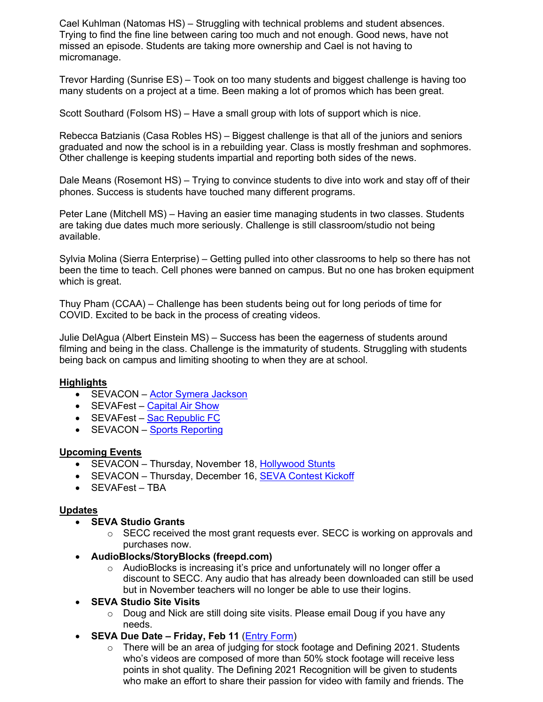Cael Kuhlman (Natomas HS) – Struggling with technical problems and student absences. Trying to find the fine line between caring too much and not enough. Good news, have not missed an episode. Students are taking more ownership and Cael is not having to micromanage.

Trevor Harding (Sunrise ES) – Took on too many students and biggest challenge is having too many students on a project at a time. Been making a lot of promos which has been great.

Scott Southard (Folsom HS) – Have a small group with lots of support which is nice.

Rebecca Batzianis (Casa Robles HS) – Biggest challenge is that all of the juniors and seniors graduated and now the school is in a rebuilding year. Class is mostly freshman and sophmores. Other challenge is keeping students impartial and reporting both sides of the news.

Dale Means (Rosemont HS) – Trying to convince students to dive into work and stay off of their phones. Success is students have touched many different programs.

Peter Lane (Mitchell MS) – Having an easier time managing students in two classes. Students are taking due dates much more seriously. Challenge is still classroom/studio not being available.

Sylvia Molina (Sierra Enterprise) – Getting pulled into other classrooms to help so there has not been the time to teach. Cell phones were banned on campus. But no one has broken equipment which is great.

Thuy Pham (CCAA) – Challenge has been students being out for long periods of time for COVID. Excited to be back in the process of creating videos.

Julie DelAgua (Albert Einstein MS) – Success has been the eagerness of students around filming and being in the class. Challenge is the immaturity of students. Struggling with students being back on campus and limiting shooting to when they are at school.

#### **Highlights**

- SEVACON Actor Symera Jackson
- SEVAFest Capital Air Show
- SEVAFest Sac Republic FC
- **SEVACON** Sports Reporting

#### **Upcoming Events**

- SEVACON Thursday, November 18, Hollywood Stunts
- SEVACON Thursday, December 16, SEVA Contest Kickoff
- SEVAFest TBA

#### **Updates**

- **SEVA Studio Grants**
	- $\circ$  SECC received the most grant requests ever. SECC is working on approvals and purchases now.
- **AudioBlocks/StoryBlocks (freepd.com)**
	- $\circ$  AudioBlocks is increasing it's price and unfortunately will no longer offer a discount to SECC. Any audio that has already been downloaded can still be used but in November teachers will no longer be able to use their logins.

#### • **SEVA Studio Site Visits**

- $\circ$  Doug and Nick are still doing site visits. Please email Doug if you have any needs.
- **SEVA Due Date – Friday, Feb 11** (Entry Form)
	- $\circ$  There will be an area of judging for stock footage and Defining 2021. Students who's videos are composed of more than 50% stock footage will receive less points in shot quality. The Defining 2021 Recognition will be given to students who make an effort to share their passion for video with family and friends. The